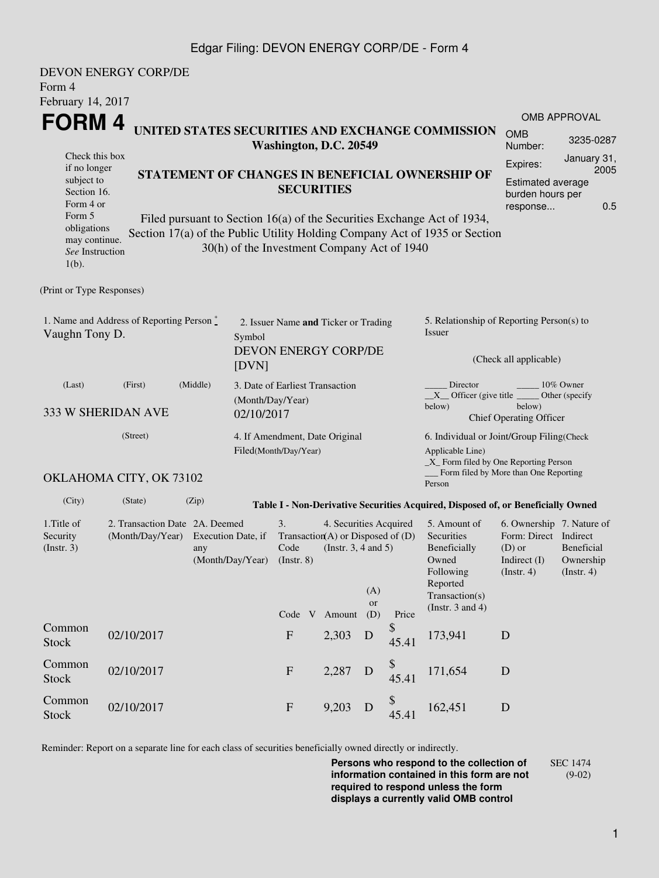## Edgar Filing: DEVON ENERGY CORP/DE - Form 4

| Form 4                                                                                                                                                                                                                                                                                                                                                                                                                               | <b>DEVON ENERGY CORP/DE</b>                             |                                                                     |                                                                       |                                                                                            |                  |                                                                                                                                                    |                                                                                                                                                    |                                                                                                                                                   |                                                                                        |                                                                |  |
|--------------------------------------------------------------------------------------------------------------------------------------------------------------------------------------------------------------------------------------------------------------------------------------------------------------------------------------------------------------------------------------------------------------------------------------|---------------------------------------------------------|---------------------------------------------------------------------|-----------------------------------------------------------------------|--------------------------------------------------------------------------------------------|------------------|----------------------------------------------------------------------------------------------------------------------------------------------------|----------------------------------------------------------------------------------------------------------------------------------------------------|---------------------------------------------------------------------------------------------------------------------------------------------------|----------------------------------------------------------------------------------------|----------------------------------------------------------------|--|
| February 14, 2017<br>FORM 4<br>UNITED STATES SECURITIES AND EXCHANGE COMMISSION<br>Check this box<br>if no longer<br>STATEMENT OF CHANGES IN BENEFICIAL OWNERSHIP OF<br>subject to<br>Section 16.<br>Form 4 or<br>Form 5<br>Filed pursuant to Section 16(a) of the Securities Exchange Act of 1934,<br>obligations<br>Section 17(a) of the Public Utility Holding Company Act of 1935 or Section<br>may continue.<br>See Instruction |                                                         |                                                                     |                                                                       | Washington, D.C. 20549<br><b>SECURITIES</b><br>30(h) of the Investment Company Act of 1940 |                  |                                                                                                                                                    |                                                                                                                                                    |                                                                                                                                                   | <b>OMB</b><br>Number:<br>Expires:<br>Estimated average<br>burden hours per<br>response | <b>OMB APPROVAL</b><br>3235-0287<br>January 31,<br>2005<br>0.5 |  |
| $1(b)$ .                                                                                                                                                                                                                                                                                                                                                                                                                             |                                                         |                                                                     |                                                                       |                                                                                            |                  |                                                                                                                                                    |                                                                                                                                                    |                                                                                                                                                   |                                                                                        |                                                                |  |
| (Print or Type Responses)                                                                                                                                                                                                                                                                                                                                                                                                            |                                                         |                                                                     |                                                                       |                                                                                            |                  |                                                                                                                                                    |                                                                                                                                                    |                                                                                                                                                   |                                                                                        |                                                                |  |
| 1. Name and Address of Reporting Person *<br>Vaughn Tony D.                                                                                                                                                                                                                                                                                                                                                                          | Symbol<br>[DVN]                                         | 2. Issuer Name and Ticker or Trading<br><b>DEVON ENERGY CORP/DE</b> |                                                                       |                                                                                            |                  | 5. Relationship of Reporting Person(s) to<br>Issuer<br>(Check all applicable)                                                                      |                                                                                                                                                    |                                                                                                                                                   |                                                                                        |                                                                |  |
| (Last)<br>333 W SHERIDAN AVE                                                                                                                                                                                                                                                                                                                                                                                                         | (Middle)                                                | (Month/Day/Year)<br>02/10/2017                                      | 3. Date of Earliest Transaction                                       |                                                                                            |                  |                                                                                                                                                    | Director<br>10% Owner<br>$X$ Officer (give title $\overline{\phantom{a}}$<br>Other (specify)<br>below)<br>below)<br><b>Chief Operating Officer</b> |                                                                                                                                                   |                                                                                        |                                                                |  |
|                                                                                                                                                                                                                                                                                                                                                                                                                                      | 4. If Amendment, Date Original<br>Filed(Month/Day/Year) |                                                                     |                                                                       |                                                                                            |                  | 6. Individual or Joint/Group Filing(Check<br>Applicable Line)<br>$\_X$ Form filed by One Reporting Person<br>Form filed by More than One Reporting |                                                                                                                                                    |                                                                                                                                                   |                                                                                        |                                                                |  |
|                                                                                                                                                                                                                                                                                                                                                                                                                                      | OKLAHOMA CITY, OK 73102                                 |                                                                     |                                                                       |                                                                                            |                  |                                                                                                                                                    |                                                                                                                                                    | Person                                                                                                                                            |                                                                                        |                                                                |  |
| (City)                                                                                                                                                                                                                                                                                                                                                                                                                               | (State)                                                 | (Zip)                                                               |                                                                       |                                                                                            |                  |                                                                                                                                                    |                                                                                                                                                    | Table I - Non-Derivative Securities Acquired, Disposed of, or Beneficially Owned                                                                  |                                                                                        |                                                                |  |
| 1. Title of<br>Security<br>(Insert. 3)                                                                                                                                                                                                                                                                                                                                                                                               | 2. Transaction Date 2A. Deemed<br>(Month/Day/Year)      | Execution Date, if<br>(Month/Day/Year)                              | 3.<br>Transaction(A) or Disposed of $(D)$<br>Code<br>$($ Instr. 8 $)$ | 4. Securities Acquired<br>(Insert. 3, 4 and 5)                                             | (A)<br><b>or</b> |                                                                                                                                                    | 5. Amount of<br>Securities<br>Beneficially<br>Owned<br>Following<br>Reported<br>Transaction(s)<br>(Instr. $3$ and $4$ )                            | 6. Ownership 7. Nature of<br>Form: Direct Indirect<br>Beneficial<br>$(D)$ or<br>Indirect (I)<br>Ownership<br>$($ Instr. 4 $)$<br>$($ Instr. 4 $)$ |                                                                                        |                                                                |  |
| Common<br><b>Stock</b>                                                                                                                                                                                                                                                                                                                                                                                                               | 02/10/2017                                              |                                                                     |                                                                       | Code V<br>$\boldsymbol{\mathrm{F}}$                                                        | Amount<br>2,303  | (D)<br>D                                                                                                                                           | Price<br>\$<br>45.41                                                                                                                               | 173,941                                                                                                                                           | D                                                                                      |                                                                |  |
| Common<br><b>Stock</b>                                                                                                                                                                                                                                                                                                                                                                                                               | 02/10/2017                                              |                                                                     |                                                                       | $\mathbf F$                                                                                | 2,287            | D                                                                                                                                                  | \$<br>45.41                                                                                                                                        | 171,654                                                                                                                                           | D                                                                                      |                                                                |  |
| Common<br><b>Stock</b>                                                                                                                                                                                                                                                                                                                                                                                                               | 02/10/2017                                              |                                                                     |                                                                       | ${\bf F}$                                                                                  | 9,203            | D                                                                                                                                                  | \$<br>45.41                                                                                                                                        | 162,451                                                                                                                                           | D                                                                                      |                                                                |  |

Reminder: Report on a separate line for each class of securities beneficially owned directly or indirectly.

**Persons who respond to the collection of information contained in this form are not required to respond unless the form displays a currently valid OMB control** SEC 1474 (9-02)